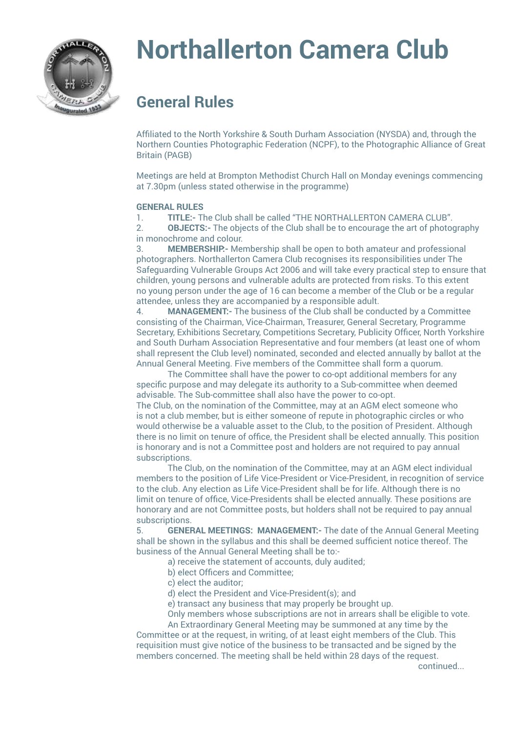

## **Northallerton Camera Club**

## **General Rules**

Affiliated to the North Yorkshire & South Durham Association (NYSDA) and, through the Northern Counties Photographic Federation (NCPF), to the Photographic Alliance of Great Britain (PAGB)

Meetings are held at Brompton Methodist Church Hall on Monday evenings commencing at 7.30pm (unless stated otherwise in the programme)

## **GENERAL RULES**

1. **TITLE:-** The Club shall be called "THE NORTHALLERTON CAMERA CLUB".

2. **OBJECTS:-** The objects of the Club shall be to encourage the art of photography in monochrome and colour.

3. **MEMBERSHIP:-** Membership shall be open to both amateur and professional photographers. Northallerton Camera Club recognises its responsibilities under The Safeguarding Vulnerable Groups Act 2006 and will take every practical step to ensure that children, young persons and vulnerable adults are protected from risks. To this extent no young person under the age of 16 can become a member of the Club or be a regular attendee, unless they are accompanied by a responsible adult.

4. **MANAGEMENT:-** The business of the Club shall be conducted by a Committee consisting of the Chairman, Vice-Chairman, Treasurer, General Secretary, Programme Secretary, Exhibitions Secretary, Competitions Secretary, Publicity Officer, North Yorkshire and South Durham Association Representative and four members (at least one of whom shall represent the Club level) nominated, seconded and elected annually by ballot at the Annual General Meeting. Five members of the Committee shall form a quorum.

The Committee shall have the power to co-opt additional members for any specific purpose and may delegate its authority to a Sub-committee when deemed advisable. The Sub-committee shall also have the power to co-opt.

The Club, on the nomination of the Committee, may at an AGM elect someone who is not a club member, but is either someone of repute in photographic circles or who would otherwise be a valuable asset to the Club, to the position of President. Although there is no limit on tenure of office, the President shall be elected annually. This position is honorary and is not a Committee post and holders are not required to pay annual subscriptions.

The Club, on the nomination of the Committee, may at an AGM elect individual members to the position of Life Vice-President or Vice-President, in recognition of service to the club. Any election as Life Vice-President shall be for life. Although there is no limit on tenure of office, Vice-Presidents shall be elected annually. These positions are honorary and are not Committee posts, but holders shall not be required to pay annual subscriptions.

5. **GENERAL MEETINGS: MANAGEMENT:-** The date of the Annual General Meeting shall be shown in the syllabus and this shall be deemed sufficient notice thereof. The business of the Annual General Meeting shall be to:-

a) receive the statement of accounts, duly audited;

b) elect Officers and Committee;

c) elect the auditor;

d) elect the President and Vice-President(s); and

e) transact any business that may properly be brought up.

Only members whose subscriptions are not in arrears shall be eligible to vote.

An Extraordinary General Meeting may be summoned at any time by the Committee or at the request, in writing, of at least eight members of the Club. This requisition must give notice of the business to be transacted and be signed by the members concerned. The meeting shall be held within 28 days of the request.

continued...